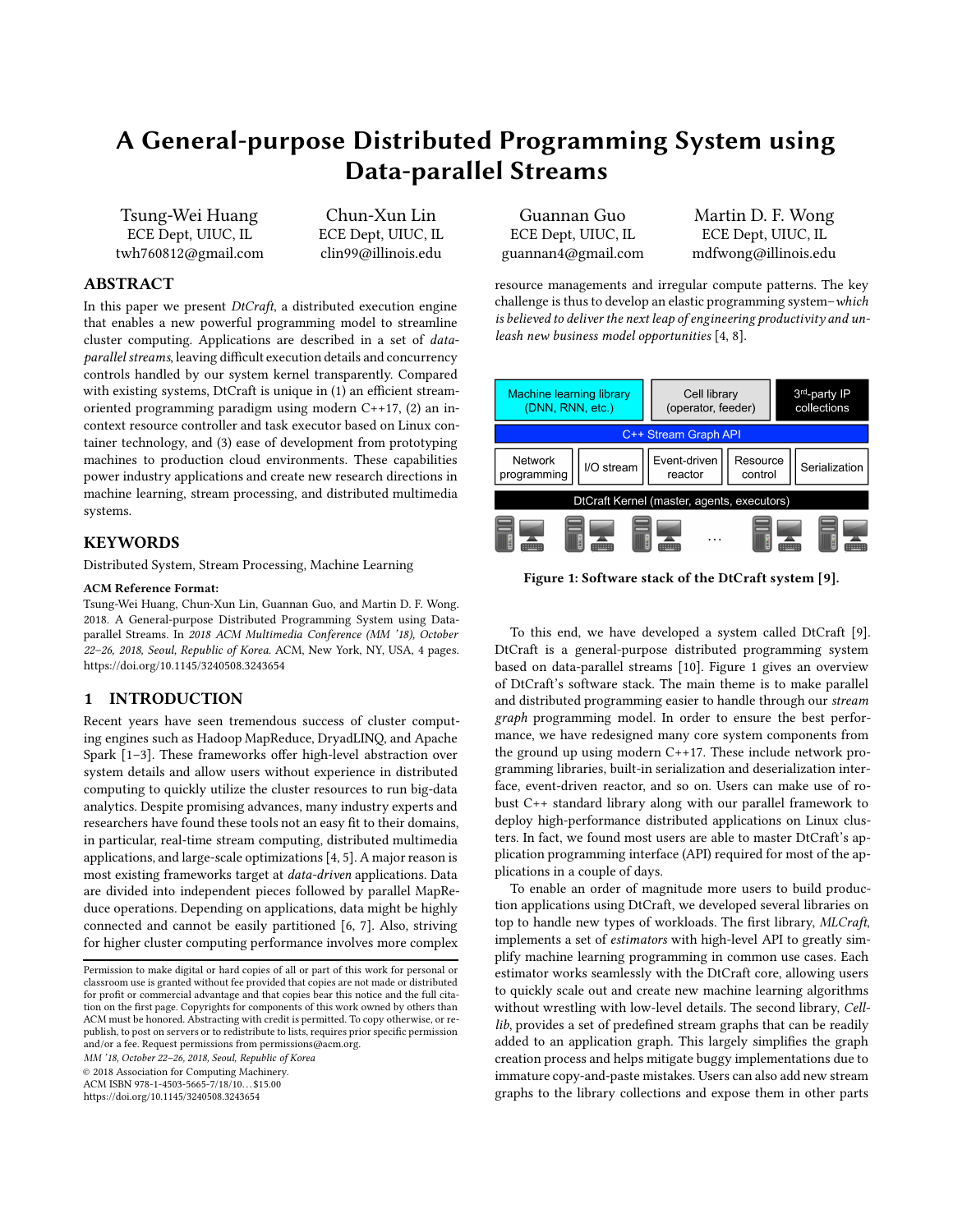# A General-purpose Distributed Programming System using Data-parallel Streams

Tsung-Wei Huang ECE Dept, UIUC, IL twh760812@gmail.com

Chun-Xun Lin ECE Dept, UIUC, IL clin99@illinois.edu

# ABSTRACT

In this paper we present DtCraft, a distributed execution engine that enables a new powerful programming model to streamline cluster computing. Applications are described in a set of dataparallel streams, leaving difficult execution details and concurrency controls handled by our system kernel transparently. Compared with existing systems, DtCraft is unique in (1) an efficient streamoriented programming paradigm using modern C++17, (2) an incontext resource controller and task executor based on Linux container technology, and (3) ease of development from prototyping machines to production cloud environments. These capabilities power industry applications and create new research directions in machine learning, stream processing, and distributed multimedia systems.

# **KEYWORDS**

Distributed System, Stream Processing, Machine Learning

## ACM Reference Format:

Tsung-Wei Huang, Chun-Xun Lin, Guannan Guo, and Martin D. F. Wong. 2018. A General-purpose Distributed Programming System using Dataparallel Streams. In 2018 ACM Multimedia Conference (MM '18), October 22–26, 2018, Seoul, Republic of Korea. ACM, New York, NY, USA, [4](#page-3-0) pages. <https://doi.org/10.1145/3240508.3243654>

## 1 INTRODUCTION

Recent years have seen tremendous success of cluster computing engines such as Hadoop MapReduce, DryadLINQ, and Apache Spark [\[1](#page-3-1)[–3](#page-3-2)]. These frameworks offer high-level abstraction over system details and allow users without experience in distributed computing to quickly utilize the cluster resources to run big-data analytics. Despite promising advances, many industry experts and researchers have found these tools not an easy fit to their domains, in particular, real-time stream computing, distributed multimedia applications, and large-scale optimizations [\[4,](#page-3-3) [5](#page-3-4)]. A major reason is most existing frameworks target at data-driven applications. Data are divided into independent pieces followed by parallel MapReduce operations. Depending on applications, data might be highly connected and cannot be easily partitioned [\[6](#page-3-5), [7\]](#page-3-6). Also, striving for higher cluster computing performance involves more complex

MM '18, October 22–26, 2018, Seoul, Republic of Korea

© 2018 Association for Computing Machinery.

ACM ISBN 978-1-4503-5665-7/18/10. . . \$15.00

<https://doi.org/10.1145/3240508.3243654>

Guannan Guo ECE Dept, UIUC, IL guannan4@gmail.com

Martin D. F. Wong ECE Dept, UIUC, IL mdfwong@illinois.edu

resource managements and irregular compute patterns. The key challenge is thus to develop an elastic programming system–which is believed to deliver the next leap of engineering productivity and unleash new business model opportunities [\[4,](#page-3-3) [8\]](#page-3-7).

<span id="page-0-0"></span>

Figure 1: Software stack of the DtCraft system [\[9\]](#page-3-8).

To this end, we have developed a system called DtCraft [\[9\]](#page-3-8). DtCraft is a general-purpose distributed programming system based on data-parallel streams [\[10](#page-3-9)]. Figure [1](#page-0-0) gives an overview of DtCraft's software stack. The main theme is to make parallel and distributed programming easier to handle through our stream graph programming model. In order to ensure the best performance, we have redesigned many core system components from the ground up using modern C++17. These include network programming libraries, built-in serialization and deserialization interface, event-driven reactor, and so on. Users can make use of robust C++ standard library along with our parallel framework to deploy high-performance distributed applications on Linux clusters. In fact, we found most users are able to master DtCraft's application programming interface (API) required for most of the applications in a couple of days.

To enable an order of magnitude more users to build production applications using DtCraft, we developed several libraries on top to handle new types of workloads. The first library, MLCraft, implements a set of estimators with high-level API to greatly simplify machine learning programming in common use cases. Each estimator works seamlessly with the DtCraft core, allowing users to quickly scale out and create new machine learning algorithms without wrestling with low-level details. The second library, Celllib, provides a set of predefined stream graphs that can be readily added to an application graph. This largely simplifies the graph creation process and helps mitigate buggy implementations due to immature copy-and-paste mistakes. Users can also add new stream graphs to the library collections and expose them in other parts

Permission to make digital or hard copies of all or part of this work for personal or classroom use is granted without fee provided that copies are not made or distributed for profit or commercial advantage and that copies bear this notice and the full citation on the first page. Copyrights for components of this work owned by others than ACM must be honored. Abstracting with credit is permitted. To copy otherwise, or republish, to post on servers or to redistribute to lists, requires prior specific permission and/or a fee. Request permissions from permissions@acm.org.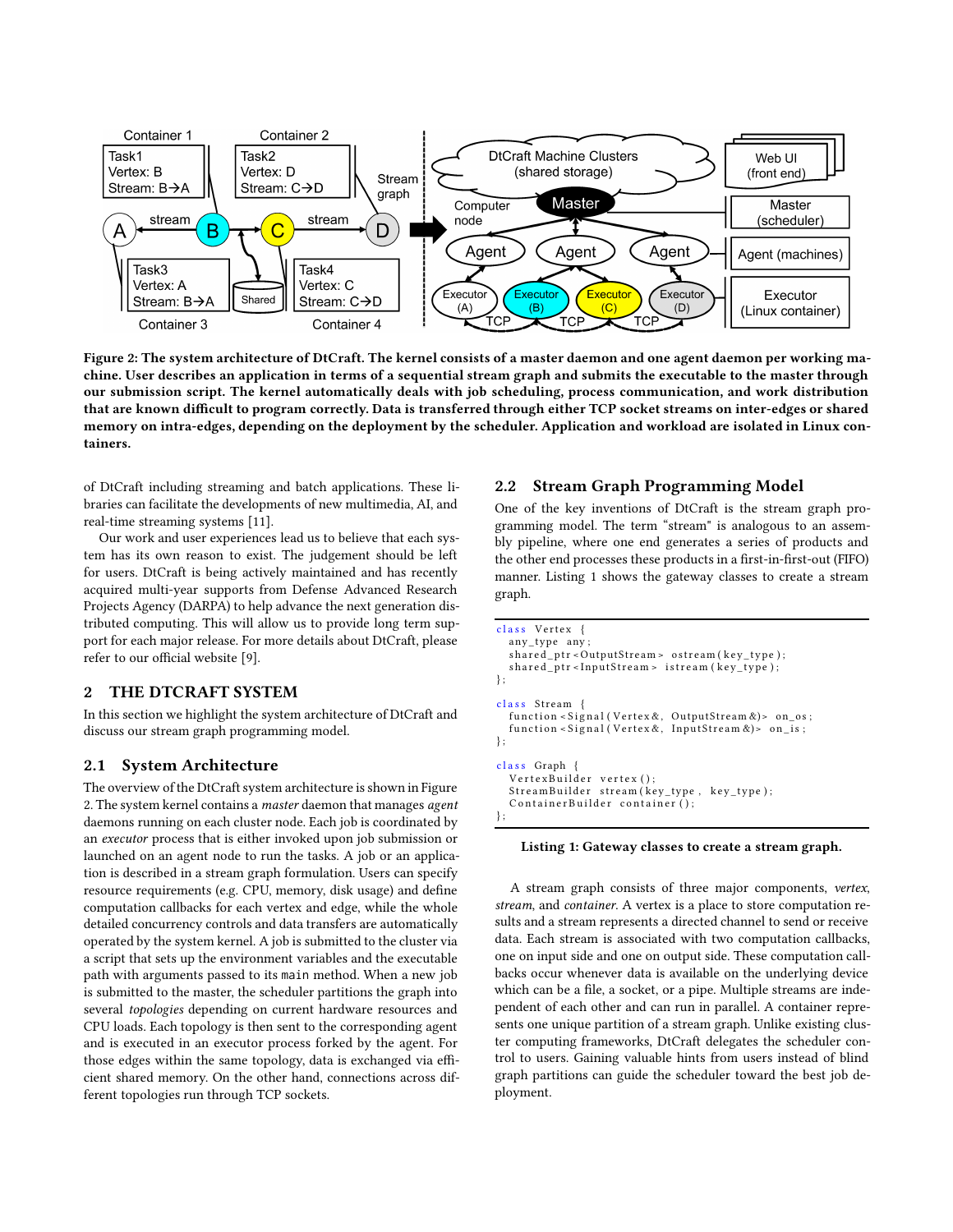<span id="page-1-0"></span>

Figure 2: The system architecture of DtCraft. The kernel consists of a master daemon and one agent daemon per working machine. User describes an application in terms of a sequential stream graph and submits the executable to the master through our submission script. The kernel automatically deals with job scheduling, process communication, and work distribution that are known difficult to program correctly. Data is transferred through either TCP socket streams on inter-edges or shared memory on intra-edges, depending on the deployment by the scheduler. Application and workload are isolated in Linux containers.

of DtCraft including streaming and batch applications. These libraries can facilitate the developments of new multimedia, AI, and real-time streaming systems [\[11\]](#page-3-10).

Our work and user experiences lead us to believe that each system has its own reason to exist. The judgement should be left for users. DtCraft is being actively maintained and has recently acquired multi-year supports from Defense Advanced Research Projects Agency (DARPA) to help advance the next generation distributed computing. This will allow us to provide long term support for each major release. For more details about DtCraft, please refer to our official website [\[9](#page-3-8)].

## 2 THE DTCRAFT SYSTEM

In this section we highlight the system architecture of DtCraft and discuss our stream graph programming model.

## 2.1 System Architecture

The overview of the DtCraft system architecture is shown in Figure [2.](#page-1-0) The system kernel contains a master daemon that manages agent daemons running on each cluster node. Each job is coordinated by an executor process that is either invoked upon job submission or launched on an agent node to run the tasks. A job or an application is described in a stream graph formulation. Users can specify resource requirements (e.g. CPU, memory, disk usage) and define computation callbacks for each vertex and edge, while the whole detailed concurrency controls and data transfers are automatically operated by the system kernel. A job is submitted to the cluster via a script that sets up the environment variables and the executable path with arguments passed to its main method. When a new job is submitted to the master, the scheduler partitions the graph into several topologies depending on current hardware resources and CPU loads. Each topology is then sent to the corresponding agent and is executed in an executor process forked by the agent. For those edges within the same topology, data is exchanged via efficient shared memory. On the other hand, connections across different topologies run through TCP sockets.

# 2.2 Stream Graph Programming Model

One of the key inventions of DtCraft is the stream graph programming model. The term "stream" is analogous to an assembly pipeline, where one end generates a series of products and the other end processes these products in a first-in-first-out (FIFO) manner. Listing [1](#page-1-1) shows the gateway classes to create a stream graph.

```
class Vertex {
  any type any :
  shared\_ptr < OutputStream > osteream (key\_type);shared\_ptr < InputStream > isterean (key\_type);\}:
class Stream {
  function < Signal (Vertex &, OutputStream &) > on_os;
  function < Signal (Vertex &, InputStream &)> on_is;
\}:
class Graph {
  V ertex Builder vertex ();
  StreamBuilder stream (key_type, key_type);
  ContainerBuilder container ();
\};
```
#### Listing 1: Gateway classes to create a stream graph.

A stream graph consists of three major components, vertex, stream, and container. A vertex is a place to store computation results and a stream represents a directed channel to send or receive data. Each stream is associated with two computation callbacks, one on input side and one on output side. These computation callbacks occur whenever data is available on the underlying device which can be a file, a socket, or a pipe. Multiple streams are independent of each other and can run in parallel. A container represents one unique partition of a stream graph. Unlike existing cluster computing frameworks, DtCraft delegates the scheduler control to users. Gaining valuable hints from users instead of blind graph partitions can guide the scheduler toward the best job deployment.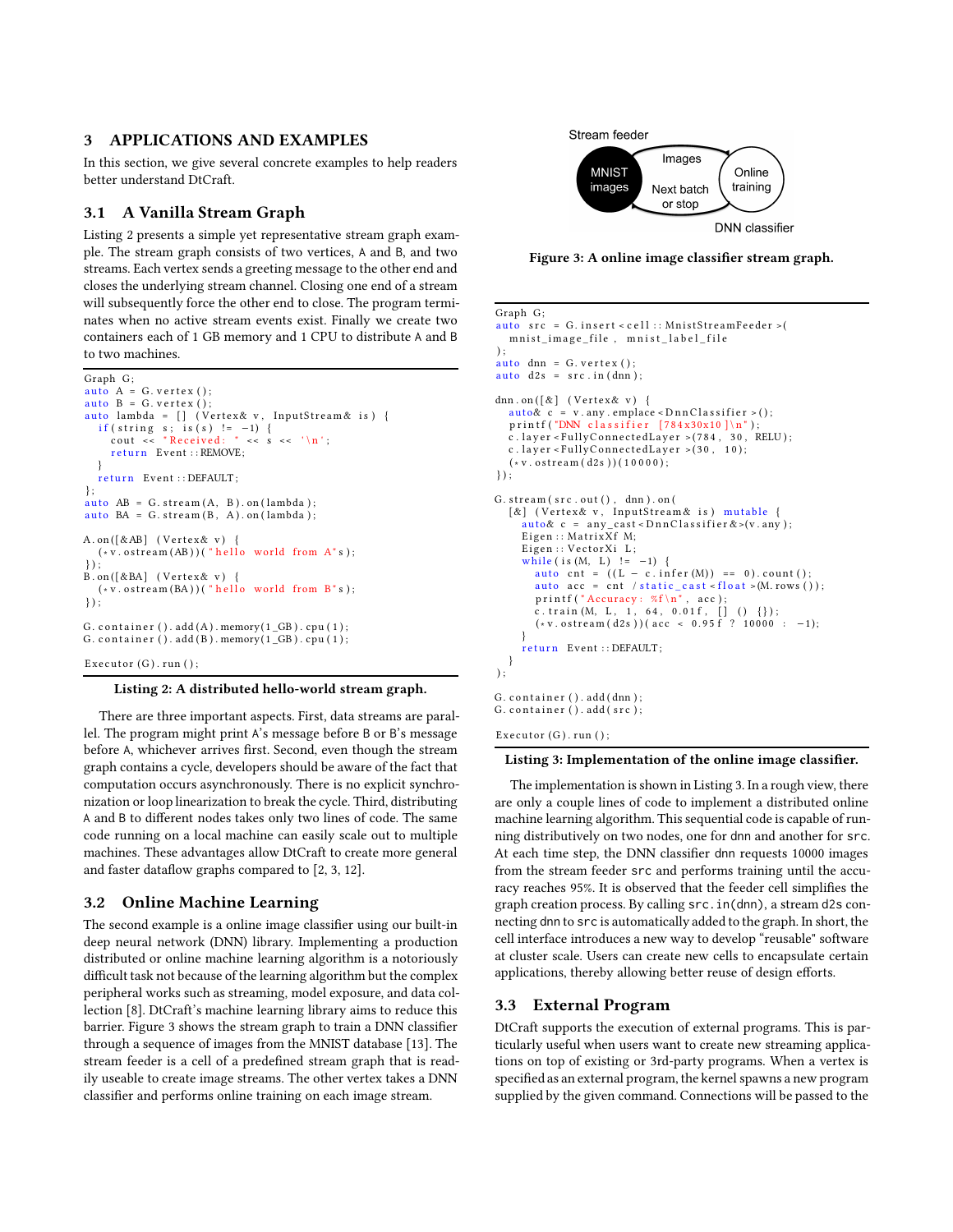## 3 APPLICATIONS AND EXAMPLES

In this section, we give several concrete examples to help readers better understand DtCraft.

## 3.1 A Vanilla Stream Graph

Listing [2](#page-2-0) presents a simple yet representative stream graph example. The stream graph consists of two vertices, A and B, and two streams. Each vertex sends a greeting message to the other end and closes the underlying stream channel. Closing one end of a stream will subsequently force the other end to close. The program terminates when no active stream events exist. Finally we create two containers each of 1 GB memory and 1 CPU to distribute A and B to two machines.

```
Graph G;
auto A = G, vertex ():
auto B = G, vertex ():
auto lambda = \begin{bmatrix} \end{bmatrix} (Vertex& v, InputStream& is) {
   if (string s; is (s) != -1) {<br>cout << "Received: " << s << '\n';
     return Event :: REMOVE;
   }
  return Event :: DEFAULT;
} ;
auto AB = G. stream(A, B).on (lambda);auto BA = G. stream(B, A). on (lambda);A. on ([&AB] (Vertex& v) {
  (* v. ostream(AB)) ("hello world from A" s);\} ) :
B.on([&BA] (Vertex& v) {<br>(*v.ostream(BA))("hello world from B"s);
\} ) ;
G. container (). add(A). memory(1_GB). cpu(1);
G. container (). add(B). memory(1_GB). cpu(1);
Executor (G). run ( );
```
## Listing 2: A distributed hello-world stream graph.

There are three important aspects. First, data streams are parallel. The program might print A's message before B or B's message before A, whichever arrives first. Second, even though the stream graph contains a cycle, developers should be aware of the fact that computation occurs asynchronously. There is no explicit synchronization or loop linearization to break the cycle. Third, distributing A and B to different nodes takes only two lines of code. The same code running on a local machine can easily scale out to multiple machines. These advantages allow DtCraft to create more general and faster dataflow graphs compared to [\[2,](#page-3-11) [3,](#page-3-2) [12\]](#page-3-12).

## 3.2 Online Machine Learning

The second example is a online image classifier using our built-in deep neural network (DNN) library. Implementing a production distributed or online machine learning algorithm is a notoriously difficult task not because of the learning algorithm but the complex peripheral works such as streaming, model exposure, and data collection [\[8](#page-3-7)]. DtCraft's machine learning library aims to reduce this barrier. Figure [3](#page-2-1) shows the stream graph to train a DNN classifier through a sequence of images from the MNIST database [\[13\]](#page-3-13). The stream feeder is a cell of a predefined stream graph that is readily useable to create image streams. The other vertex takes a DNN classifier and performs online training on each image stream.

<span id="page-2-1"></span>

Figure 3: A online image classifier stream graph.

```
Graph G;
auto src = G.insert < cell :: MinistStreamFeeder > 0mnist\_image\_file, mnist\_label\_file) ;
auto dnn = G. v e r t e x ();
auto\ d2s = src.in(dnn);dnn.on([&] (Vertex& v) {
   auto& c = v . any . employee < DnnClassifier >();printf ("DNN classifier [784x30x10] \n\cdot n");
  c. layer <FullyConnectedLayer >(784, 30, RELU);
  c. layer <FullyConnectedLayer >(30, 10);
  (* v. ostream ( d2s ) ) (10000 );\} ) :
G. stream (\text{src.out}(), dm). on ([&] (Vertex& v, InputStream& is) mutable {
     auto& c = any\_cast < DnnClassifier < (v. any);Eigen :: MatrixXf M;
     Eigen :: VectorXi L;
     while ( is (M, L) != -1) {
        auto cnt = ((L - c . infer(M)) == 0).count();auto acc = \int_0^{\infty} / static_cast < float >(M. rows ());
       printf ("Accuracy: %f \n\overline{\n\begin{bmatrix} n \\ n \end{bmatrix}}, acc);
       c. train (M, L, 1, 64, 0.01f, [] () \{\});
       (*\texttt{v}.\texttt{ostream}(d2s)) (acc < 0.95 f ? 10000 : -1);
     return Event :: DEFAULT;
  }
\lambda:
G. container (). add (dnn);
G. container (). add (src);
```
Executor  $(G)$ . run  $($  );

#### Listing 3: Implementation of the online image classifier.

The implementation is shown in Listing [3.](#page-2-2) In a rough view, there are only a couple lines of code to implement a distributed online machine learning algorithm. This sequential code is capable of running distributively on two nodes, one for dnn and another for src. At each time step, the DNN classifier dnn requests 10000 images from the stream feeder src and performs training until the accuracy reaches 95%. It is observed that the feeder cell simplifies the graph creation process. By calling src.in(dnn), a stream d2s connecting dnn to src is automatically added to the graph. In short, the cell interface introduces a new way to develop "reusable" software at cluster scale. Users can create new cells to encapsulate certain applications, thereby allowing better reuse of design efforts.

## 3.3 External Program

DtCraft supports the execution of external programs. This is particularly useful when users want to create new streaming applications on top of existing or 3rd-party programs. When a vertex is specified as an external program, the kernel spawns a new program supplied by the given command. Connections will be passed to the